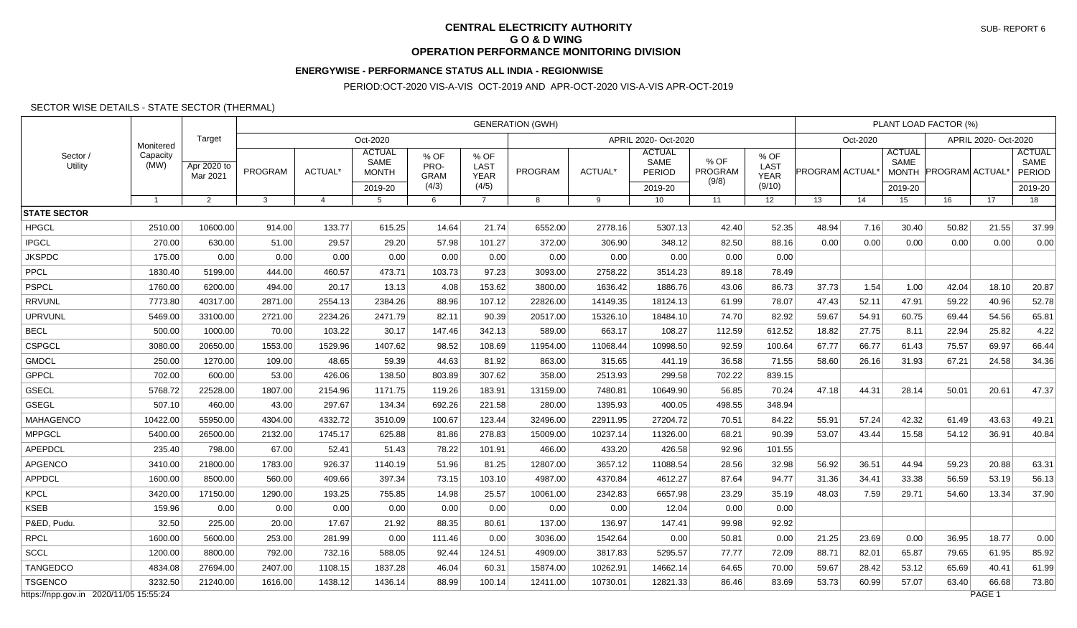## **CENTRAL ELECTRICITY AUTHORITY G O & D WING OPERATION PERFORMANCE MONITORING DIVISION**

# **ENERGYWISE - PERFORMANCE STATUS ALL INDIA - REGIONWISE**

#### PERIOD:OCT-2020 VIS-A-VIS OCT-2019 AND APR-OCT-2020 VIS-A-VIS APR-OCT-2019

### SECTOR WISE DETAILS - STATE SECTOR (THERMAL)

| Sector /<br>Utility |                  | Target<br>Apr 2020 to<br>Mar 2021 | <b>GENERATION (GWH)</b> |                |                                       |                             |                                    |                |          |                                        |                          |                                       |                | PLANT LOAD FACTOR (%) |                                       |                      |       |                                 |  |  |
|---------------------|------------------|-----------------------------------|-------------------------|----------------|---------------------------------------|-----------------------------|------------------------------------|----------------|----------|----------------------------------------|--------------------------|---------------------------------------|----------------|-----------------------|---------------------------------------|----------------------|-------|---------------------------------|--|--|
|                     | Monitered        |                                   | Oct-2020                |                |                                       |                             |                                    |                |          | APRIL 2020- Oct-2020                   |                          |                                       |                | Oct-2020              |                                       | APRIL 2020- Oct-2020 |       |                                 |  |  |
|                     | Capacity<br>(MW) |                                   | PROGRAM                 | <b>ACTUAL*</b> | <b>ACTUAL</b><br>SAME<br><b>MONTH</b> | % OF<br>PRO-<br><b>GRAM</b> | % OF<br><b>LAST</b><br><b>YEAR</b> | <b>PROGRAM</b> | ACTUAL*  | <b>ACTUAL</b><br>SAME<br><b>PERIOD</b> | % OF<br>PROGRAM<br>(9/8) | % OF<br>LAST<br><b>YEAR</b><br>(9/10) | PROGRAM ACTUAL |                       | <b>ACTUAL</b><br>SAME<br><b>MONTH</b> | PROGRAM  ACTUAL      |       | <b>ACTUAL</b><br>SAME<br>PERIOD |  |  |
|                     |                  |                                   |                         |                | 2019-20                               | (4/3)                       | (4/5)                              |                |          | 2019-20                                |                          |                                       |                |                       | 2019-20                               |                      |       | 2019-20                         |  |  |
|                     | $\overline{1}$   | 2                                 | 3                       | $\overline{4}$ | $5^{\circ}$                           | 6                           | $\overline{7}$                     | 8              | 9        | 10 <sup>1</sup>                        | 11                       | 12                                    | 13             | 14                    | 15                                    | 16                   | 17    | 18                              |  |  |
| <b>STATE SECTOR</b> |                  |                                   |                         |                |                                       |                             |                                    |                |          |                                        |                          |                                       |                |                       |                                       |                      |       |                                 |  |  |
| <b>HPGCL</b>        | 2510.00          | 10600.00                          | 914.00                  | 133.77         | 615.25                                | 14.64                       | 21.74                              | 6552.00        | 2778.16  | 5307.13                                | 42.40                    | 52.35                                 | 48.94          | 7.16                  | 30.40                                 | 50.82                | 21.55 | 37.99                           |  |  |
| <b>IPGCL</b>        | 270.00           | 630.00                            | 51.00                   | 29.57          | 29.20                                 | 57.98                       | 101.27                             | 372.00         | 306.90   | 348.12                                 | 82.50                    | 88.16                                 | 0.00           | 0.00                  | 0.00                                  | 0.00                 | 0.00  | 0.00                            |  |  |
| <b>JKSPDC</b>       | 175.00           | 0.00                              | 0.00                    | 0.00           | 0.00                                  | 0.00                        | 0.00                               | 0.00           | 0.00     | 0.00                                   | 0.00                     | 0.00                                  |                |                       |                                       |                      |       |                                 |  |  |
| PPCL                | 1830.40          | 5199.00                           | 444.00                  | 460.57         | 473.71                                | 103.73                      | 97.23                              | 3093.00        | 2758.22  | 3514.23                                | 89.18                    | 78.49                                 |                |                       |                                       |                      |       |                                 |  |  |
| <b>PSPCL</b>        | 1760.00          | 6200.00                           | 494.00                  | 20.17          | 13.13                                 | 4.08                        | 153.62                             | 3800.00        | 1636.42  | 1886.76                                | 43.06                    | 86.73                                 | 37.73          | 1.54                  | 1.00                                  | 42.04                | 18.10 | 20.87                           |  |  |
| <b>RRVUNL</b>       | 7773.80          | 40317.00                          | 2871.00                 | 2554.13        | 2384.26                               | 88.96                       | 107.12                             | 22826.00       | 14149.35 | 18124.13                               | 61.99                    | 78.07                                 | 47.43          | 52.11                 | 47.91                                 | 59.22                | 40.96 | 52.78                           |  |  |
| <b>UPRVUNL</b>      | 5469.00          | 33100.00                          | 2721.00                 | 2234.26        | 2471.79                               | 82.11                       | 90.39                              | 20517.00       | 15326.10 | 18484.10                               | 74.70                    | 82.92                                 | 59.67          | 54.91                 | 60.75                                 | 69.44                | 54.56 | 65.81                           |  |  |
| <b>BECL</b>         | 500.00           | 1000.00                           | 70.00                   | 103.22         | 30.17                                 | 147.46                      | 342.13                             | 589.00         | 663.17   | 108.27                                 | 112.59                   | 612.52                                | 18.82          | 27.75                 | 8.11                                  | 22.94                | 25.82 | 4.22                            |  |  |
| CSPGCL              | 3080.00          | 20650.00                          | 1553.00                 | 1529.96        | 1407.62                               | 98.52                       | 108.69                             | 11954.00       | 11068.44 | 10998.50                               | 92.59                    | 100.64                                | 67.77          | 66.77                 | 61.43                                 | 75.57                | 69.97 | 66.44                           |  |  |
| <b>GMDCL</b>        | 250.00           | 1270.00                           | 109.00                  | 48.65          | 59.39                                 | 44.63                       | 81.92                              | 863.00         | 315.65   | 441.19                                 | 36.58                    | 71.55                                 | 58.60          | 26.16                 | 31.93                                 | 67.21                | 24.58 | 34.36                           |  |  |
| <b>GPPCL</b>        | 702.00           | 600.00                            | 53.00                   | 426.06         | 138.50                                | 803.89                      | 307.62                             | 358.00         | 2513.93  | 299.58                                 | 702.22                   | 839.15                                |                |                       |                                       |                      |       |                                 |  |  |
| <b>GSECL</b>        | 5768.72          | 22528.00                          | 1807.00                 | 2154.96        | 1171.75                               | 119.26                      | 183.91                             | 13159.00       | 7480.81  | 10649.90                               | 56.85                    | 70.24                                 | 47.18          | 44.31                 | 28.14                                 | 50.01                | 20.61 | 47.37                           |  |  |
| <b>GSEGL</b>        | 507.10           | 460.00                            | 43.00                   | 297.67         | 134.34                                | 692.26                      | 221.58                             | 280.00         | 1395.93  | 400.05                                 | 498.55                   | 348.94                                |                |                       |                                       |                      |       |                                 |  |  |
| MAHAGENCO           | 10422.00         | 55950.00                          | 4304.00                 | 4332.72        | 3510.09                               | 100.67                      | 123.44                             | 32496.00       | 22911.95 | 27204.72                               | 70.51                    | 84.22                                 | 55.91          | 57.24                 | 42.32                                 | 61.49                | 43.63 | 49.21                           |  |  |
| <b>MPPGCL</b>       | 5400.00          | 26500.00                          | 2132.00                 | 1745.17        | 625.88                                | 81.86                       | 278.83                             | 15009.00       | 10237.14 | 11326.00                               | 68.21                    | 90.39                                 | 53.07          | 43.44                 | 15.58                                 | 54.12                | 36.91 | 40.84                           |  |  |
| APEPDCL             | 235.40           | 798.00                            | 67.00                   | 52.41          | 51.43                                 | 78.22                       | 101.91                             | 466.00         | 433.20   | 426.58                                 | 92.96                    | 101.55                                |                |                       |                                       |                      |       |                                 |  |  |
| <b>APGENCO</b>      | 3410.00          | 21800.00                          | 1783.00                 | 926.37         | 1140.19                               | 51.96                       | 81.25                              | 12807.00       | 3657.12  | 11088.54                               | 28.56                    | 32.98                                 | 56.92          | 36.51                 | 44.94                                 | 59.23                | 20.88 | 63.31                           |  |  |
| <b>APPDCL</b>       | 1600.00          | 8500.00                           | 560.00                  | 409.66         | 397.34                                | 73.15                       | 103.10                             | 4987.00        | 4370.84  | 4612.27                                | 87.64                    | 94.77                                 | 31.36          | 34.41                 | 33.38                                 | 56.59                | 53.19 | 56.13                           |  |  |
| <b>KPCL</b>         | 3420.00          | 17150.00                          | 1290.00                 | 193.25         | 755.85                                | 14.98                       | 25.57                              | 10061.00       | 2342.83  | 6657.98                                | 23.29                    | 35.19                                 | 48.03          | 7.59                  | 29.71                                 | 54.60                | 13.34 | 37.90                           |  |  |
| KSEB                | 159.96           | 0.00                              | 0.00                    | 0.00           | 0.00                                  | 0.00                        | 0.00                               | 0.00           | 0.00     | 12.04                                  | 0.00                     | 0.00                                  |                |                       |                                       |                      |       |                                 |  |  |
| P&ED, Pudu.         | 32.50            | 225.00                            | 20.00                   | 17.67          | 21.92                                 | 88.35                       | 80.61                              | 137.00         | 136.97   | 147.41                                 | 99.98                    | 92.92                                 |                |                       |                                       |                      |       |                                 |  |  |
| <b>RPCL</b>         | 1600.00          | 5600.00                           | 253.00                  | 281.99         | 0.00                                  | 111.46                      | 0.00                               | 3036.00        | 1542.64  | 0.00                                   | 50.81                    | 0.00                                  | 21.25          | 23.69                 | 0.00                                  | 36.95                | 18.77 | 0.00                            |  |  |
| <b>SCCL</b>         | 1200.00          | 8800.00                           | 792.00                  | 732.16         | 588.05                                | 92.44                       | 124.51                             | 4909.00        | 3817.83  | 5295.57                                | 77.77                    | 72.09                                 | 88.71          | 82.01                 | 65.87                                 | 79.65                | 61.95 | 85.92                           |  |  |
| <b>TANGEDCO</b>     | 4834.08          | 27694.00                          | 2407.00                 | 1108.15        | 1837.28                               | 46.04                       | 60.31                              | 15874.00       | 10262.91 | 14662.14                               | 64.65                    | 70.00                                 | 59.67          | 28.42                 | 53.12                                 | 65.69                | 40.41 | 61.99                           |  |  |
| <b>TSGENCO</b>      | 3232.50          | 21240.00                          | 1616.00                 | 1438.12        | 1436.14                               | 88.99                       | 100.14                             | 12411.00       | 10730.01 | 12821.33                               | 86.46                    | 83.69                                 | 53.73          | 60.99                 | 57.07                                 | 63.40                | 66.68 | 73.80                           |  |  |
|                     |                  |                                   |                         |                |                                       |                             |                                    |                |          |                                        |                          |                                       |                |                       |                                       |                      |       |                                 |  |  |

https://npp.gov.in 2020/11/05 15:55:24